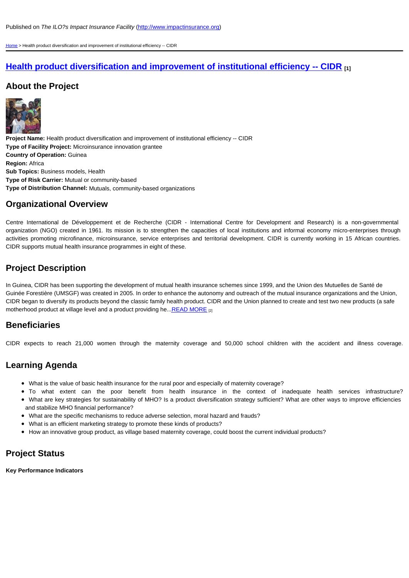## Organizational Overview

Centre International de Développement et de [Recherche \(CIDR - Internationa](http://www.impactinsurance.org)l Centre for Development a organization (NGO) created in 1961. Its mission is to strengthen the capacities of local institutions and inforr [activ](http://www.impactinsurance.org/)ities promoting microfinance, microinsurance, service enterprises and territorial development. CIDR is cu CIDR supports mutual health insurance programmes in eight of these.

# Project Description

In Guinea, CIDR has been supporting the development of mutual health insurance schemes since 1999, and the Guinée Forestière (UMSGF) was created in 2005. In order to enhance the autonomy and outreach of the mutual in CIDR began to diversify its products beyond the classic family health product. CIDR and the Union planned to cre motherhood product at village level and a product providing he... READ MORE [2]

#### **Beneficiaries**

CIDR expects to reach 21,000 women through the maternity coverage and 50,000 school children with

## Learning Agenda

- What is the value of basic health insurance for the rural poor and especially of maternity coverage?
- To what extent can the poor benefit from health insurance in the context of inade
- What are key strategies for sustainability of MHO? Is a product diversification strategy sufficient? What and stabilize MHO financial performance?
- What are the specific mechanisms to reduce adverse selection, moral hazard and frauds?
- What is an efficient marketing strategy to promote these kinds of products?
- How an innovative group product, as village based maternity coverage, could boost the current individua

#### Project Status

Key Performance Indicators